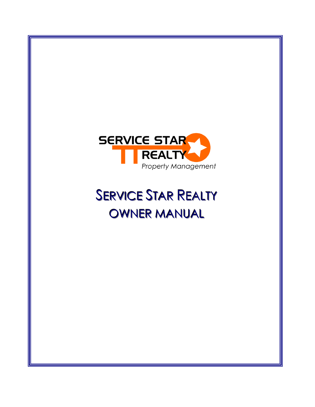

# **SERVICE STAR REALTY** OWNER MANUAL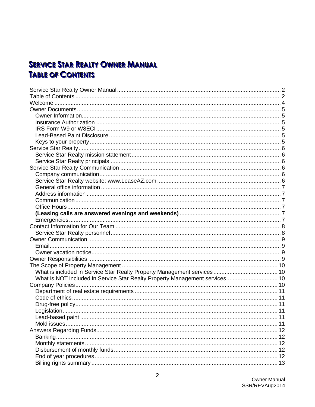# <span id="page-1-1"></span><span id="page-1-0"></span>**SERVICE STAR REALTY OWNER MANUAL TABLE OF CONTENTS**

| What is NOT included in Service Star Realty Property Management services 10 |  |
|-----------------------------------------------------------------------------|--|
|                                                                             |  |
|                                                                             |  |
|                                                                             |  |
|                                                                             |  |
|                                                                             |  |
|                                                                             |  |
|                                                                             |  |
|                                                                             |  |
|                                                                             |  |
|                                                                             |  |
|                                                                             |  |
|                                                                             |  |
|                                                                             |  |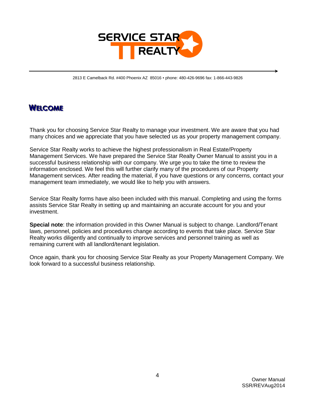

2813 E Camelback Rd. #400 Phoenix AZ 85016 ▪ phone: 480-426-9696 fax: 1-866-443-9826

### <span id="page-3-0"></span>**WELCOME**

Thank you for choosing Service Star Realty to manage your investment. We are aware that you had many choices and we appreciate that you have selected us as your property management company.

Service Star Realty works to achieve the highest professionalism in Real Estate/Property Management Services. We have prepared the Service Star Realty Owner Manual to assist you in a successful business relationship with our company. We urge you to take the time to review the information enclosed. We feel this will further clarify many of the procedures of our Property Management services. After reading the material, if you have questions or any concerns, contact your management team immediately, we would like to help you with answers.

Service Star Realty forms have also been included with this manual. Completing and using the forms assists Service Star Realty in setting up and maintaining an accurate account for you and your investment.

**Special note**: the information provided in this Owner Manual is subject to change. Landlord/Tenant laws, personnel, policies and procedures change according to events that take place. Service Star Realty works diligently and continually to improve services and personnel training as well as remaining current with all landlord/tenant legislation.

Once again, thank you for choosing Service Star Realty as your Property Management Company. We look forward to a successful business relationship.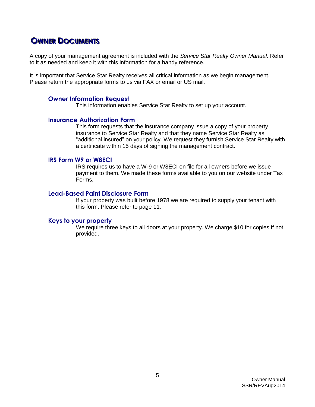### <span id="page-4-0"></span>**OWNER DOCUMENTS**

A copy of your management agreement is included with the *Service Star Realty Owner Manual*. Refer to it as needed and keep it with this information for a handy reference.

It is important that Service Star Realty receives all critical information as we begin management. Please return the appropriate forms to us via FAX or email or US mail.

#### <span id="page-4-1"></span>**Owner Information Request**

This information enables Service Star Realty to set up your account.

#### <span id="page-4-2"></span>**Insurance Authorization Form**

This form requests that the insurance company issue a copy of your property insurance to Service Star Realty and that they name Service Star Realty as "additional insured" on your policy. We request they furnish Service Star Realty with a certificate within 15 days of signing the management contract.

#### <span id="page-4-3"></span>**IRS Form W9 or W8ECI**

IRS requires us to have a W-9 or W8ECI on file for all owners before we issue payment to them. We made these forms available to you on our website under Tax Forms.

#### <span id="page-4-4"></span>**Lead-Based Paint Disclosure Form**

If your property was built before 1978 we are required to supply your tenant with this form. Please refer to page 11.

#### <span id="page-4-5"></span>**Keys to your property**

We require three keys to all doors at your property. We charge \$10 for copies if not provided.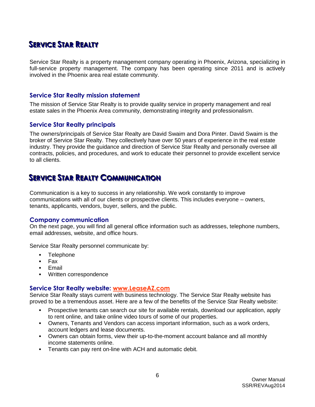# <span id="page-5-0"></span>**SEERRVVI IICCEE STTAARR REEAALLTTYY**

Service Star Realty is a property management company operating in Phoenix, Arizona, specializing in full-service property management. The company has been operating since 2011 and is actively involved in the Phoenix area real estate community.

#### <span id="page-5-1"></span>**Service Star Realty mission statement**

The mission of Service Star Realty is to provide quality service in property management and real estate sales in the Phoenix Area community, demonstrating integrity and professionalism.

#### <span id="page-5-2"></span>**Service Star Realty principals**

The owners/principals of Service Star Realty are David Swaim and Dora Pinter. David Swaim is the broker of Service Star Realty. They collectively have over 50 years of experience in the real estate industry. They provide the guidance and direction of Service Star Realty and personally oversee all contracts, policies, and procedures, and work to educate their personnel to provide excellent service to all clients.

### <span id="page-5-3"></span>**ISERVICE STAR REALTY COMMUNICATION**

Communication is a key to success in any relationship. We work constantly to improve communications with all of our clients or prospective clients. This includes everyone – owners, tenants, applicants, vendors, buyer, sellers, and the public.

#### <span id="page-5-4"></span>**Company communication**

On the next page, you will find all general office information such as addresses, telephone numbers, email addresses, website, and office hours.

Service Star Realty personnel communicate by:

- **Telephone**
- $Fax$
- **Email**
- **Written correspondence**

#### <span id="page-5-5"></span>**Service Star Realty website: www.LeaseAZ.com**

Service Star Realty stays current with business technology. The Service Star Realty website has proved to be a tremendous asset. Here are a few of the benefits of the Service Star Realty website:

- Prospective tenants can search our site for available rentals, download our application, apply to rent online, and take online video tours of some of our properties.
- Owners, Tenants and Vendors can access important information, such as a work orders, account ledgers and lease documents.
- Owners can obtain forms, view their up-to-the-moment account balance and all monthly income statements online.
- **Tenants can pay rent on-line with ACH and automatic debit.**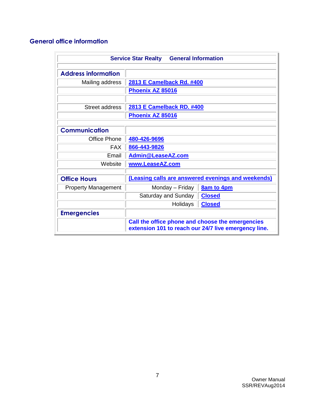### <span id="page-6-0"></span>**General office information**

<span id="page-6-5"></span><span id="page-6-4"></span><span id="page-6-3"></span><span id="page-6-2"></span><span id="page-6-1"></span>

|                            | <b>General Information</b><br><b>Service Star Realty</b>                                                 |                   |  |  |  |  |
|----------------------------|----------------------------------------------------------------------------------------------------------|-------------------|--|--|--|--|
| <b>Address information</b> |                                                                                                          |                   |  |  |  |  |
| Mailing address            | 2813 E Camelback Rd. #400                                                                                |                   |  |  |  |  |
|                            | Phoenix AZ 85016                                                                                         |                   |  |  |  |  |
|                            |                                                                                                          |                   |  |  |  |  |
| <b>Street address</b>      | 2813 E Camelback RD. #400                                                                                |                   |  |  |  |  |
|                            | Phoenix AZ 85016                                                                                         |                   |  |  |  |  |
|                            |                                                                                                          |                   |  |  |  |  |
| <b>Communication</b>       |                                                                                                          |                   |  |  |  |  |
| <b>Office Phone</b>        | 480-426-9696                                                                                             |                   |  |  |  |  |
| <b>FAX</b>                 | 866-443-9826                                                                                             |                   |  |  |  |  |
| Email                      | <b>Admin@LeaseAZ.com</b>                                                                                 |                   |  |  |  |  |
| Website                    | www.LeaseAZ.com                                                                                          |                   |  |  |  |  |
|                            |                                                                                                          |                   |  |  |  |  |
| <b>Office Hours</b>        | (Leasing calls are answered evenings and weekends)                                                       |                   |  |  |  |  |
| <b>Property Management</b> | Monday - Friday                                                                                          | <b>8am to 4pm</b> |  |  |  |  |
|                            | Saturday and Sunday                                                                                      | <b>Closed</b>     |  |  |  |  |
|                            | Holidays                                                                                                 | <b>Closed</b>     |  |  |  |  |
| <b>Emergencies</b>         |                                                                                                          |                   |  |  |  |  |
|                            | Call the office phone and choose the emergencies<br>extension 101 to reach our 24/7 live emergency line. |                   |  |  |  |  |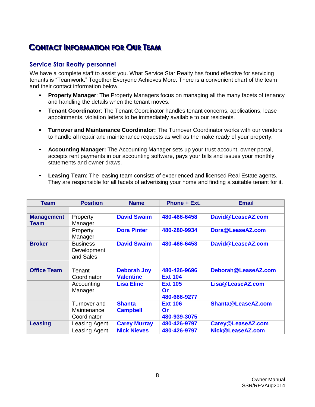# <span id="page-7-0"></span>**CONTACT INFORMATION FOR OUR TEAM**

#### <span id="page-7-1"></span>**Service Star Realty personnel**

We have a complete staff to assist you. What Service Star Realty has found effective for servicing tenants is "Teamwork." Together Everyone Achieves More. There is a convenient chart of the team and their contact information below.

- **Property Manager**: The Property Managers focus on managing all the many facets of tenancy and handling the details when the tenant moves.
- **Tenant Coordinator:** The Tenant Coordinator handles tenant concerns, applications, lease appointments, violation letters to be immediately available to our residents.
- **Turnover and Maintenance Coordinator:** The Turnover Coordinator works with our vendors to handle all repair and maintenance requests as well as the make ready of your property.
- **Accounting Manager:** The Accounting Manager sets up your trust account, owner portal, accepts rent payments in our accounting software, pays your bills and issues your monthly statements and owner draws.
- **Leasing Team**: The leasing team consists of experienced and licensed Real Estate agents. They are responsible for all facets of advertising your home and finding a suitable tenant for it.

| <b>Team</b>                      | <b>Position</b>                             | <b>Name</b>         | Phone + Ext.       | <b>Email</b>        |
|----------------------------------|---------------------------------------------|---------------------|--------------------|---------------------|
|                                  |                                             |                     |                    |                     |
| <b>Management</b><br><b>Team</b> | Property<br>Manager                         | <b>David Swaim</b>  | 480-466-6458       | David@LeaseAZ.com   |
|                                  | Property<br>Manager                         | <b>Dora Pinter</b>  | 480-280-9934       | Dora@LeaseAZ.com    |
| <b>Broker</b>                    | <b>Business</b><br>Development<br>and Sales | <b>David Swaim</b>  | 480-466-6458       | David@LeaseAZ.com   |
|                                  |                                             |                     |                    |                     |
| <b>Office Team</b>               | Tenant                                      | <b>Deborah Joy</b>  | 480-426-9696       | Deborah@LeaseAZ.com |
|                                  | Coordinator                                 | <b>Valentine</b>    | <b>Ext 104</b>     |                     |
|                                  | Accounting                                  | <b>Lisa Eline</b>   | <b>Ext 105</b>     | Lisa@LeaseAZ.com    |
|                                  | Manager                                     |                     | Or<br>480-666-9277 |                     |
|                                  | Turnover and                                | <b>Shanta</b>       | <b>Ext 106</b>     | Shanta@LeaseAZ.com  |
|                                  | Maintenance                                 | <b>Campbell</b>     | <b>Or</b>          |                     |
|                                  | Coordinator                                 |                     | 480-939-3075       |                     |
| <b>Leasing</b>                   | Leasing Agent                               | <b>Carey Murray</b> | 480-426-9797       | Carey@LeaseAZ.com   |
|                                  | Leasing Agent                               | <b>Nick Nieves</b>  | 480-426-9797       | Nick@LeaseAZ.com    |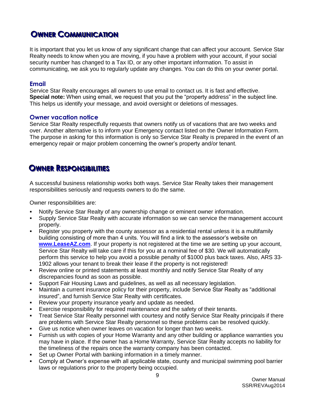# <span id="page-8-0"></span>**OWNER COMMUNICATION**

It is important that you let us know of any significant change that can affect your account. Service Star Realty needs to know when you are moving, if you have a problem with your account, if your social security number has changed to a Tax ID, or any other important information. To assist in communicating, we ask you to regularly update any changes. You can do this on your owner portal.

#### <span id="page-8-1"></span>**Email**

Service Star Realty encourages all owners to use email to contact us. It is fast and effective. **Special note:** When using email, we request that you put the "property address" in the subject line. This helps us identify your message, and avoid oversight or deletions of messages.

#### <span id="page-8-2"></span>**Owner vacation notice**

Service Star Realty respectfully requests that owners notify us of vacations that are two weeks and over. Another alternative is to inform your Emergency contact listed on the Owner Information Form. The purpose in asking for this information is only so Service Star Realty is prepared in the event of an emergency repair or major problem concerning the owner's property and/or tenant.

# <span id="page-8-3"></span>**OWNER RESPONSIBILITIES**

A successful business relationship works both ways. Service Star Realty takes their management responsibilities seriously and requests owners to do the same.

Owner responsibilities are:

- Notify Service Star Realty of any ownership change or eminent owner information.
- Supply Service Star Realty with accurate information so we can service the management account properly.
- Register you property with the county assessor as a residential rental unless it is a multifamily building consisting of more than 4 units. You will find a link to the assessor's website on **[www.LeaseAZ.com](http://www.leaseaz.com/)**. If your property is not registered at the time we are setting up your account, Service Star Realty will take care if this for you at a nominal fee of \$30. We will automatically perform this service to help you avoid a possible penalty of \$1000 plus back taxes. Also, ARS 33- 1902 allows your tenant to break their lease if the property is not registered!
- Review online or printed statements at least monthly and notify Service Star Realty of any discrepancies found as soon as possible.
- Support Fair Housing Laws and guidelines, as well as all necessary legislation.
- Maintain a current insurance policy for their property, include Service Star Realty as "additional insured", and furnish Service Star Realty with certificates.
- Review your property insurance yearly and update as needed.
- Exercise responsibility for required maintenance and the safety of their tenants.
- Treat Service Star Realty personnel with courtesy and notify Service Star Realty principals if there are problems with Service Star Realty personnel so these problems can be resolved quickly.
- Give us notice when owner leaves on vacation for longer than two weeks.
- Furnish us with copies of your Home Warranty and any other building or appliance warranties you may have in place. If the owner has a Home Warranty, Service Star Realty accepts no liability for the timeliness of the repairs once the warranty company has been contacted.
- Set up Owner Portal with banking information in a timely manner.
- Comply at Owner's expense with all applicable state, county and municipal swimming pool barrier laws or regulations prior to the property being occupied.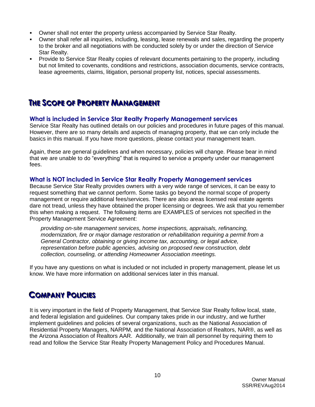- Owner shall not enter the property unless accompanied by Service Star Realty.
- Owner shall refer all inquiries, including, leasing, lease renewals and sales, regarding the property to the broker and all negotiations with be conducted solely by or under the direction of Service Star Realty.
- Provide to Service Star Realty copies of relevant documents pertaining to the property, including but not limited to covenants, conditions and restrictions, association documents, service contracts, lease agreements, claims, litigation, personal property list, notices, special assessments.

### <span id="page-9-0"></span>**THE SCOPE OF PROPERTY MANAGEMENT**

#### <span id="page-9-1"></span>**What is included in Service Star Realty Property Management services**

Service Star Realty has outlined details on our policies and procedures in future pages of this manual. However, there are so many details and aspects of managing property, that we can only include the basics in this manual. If you have more questions, please contact your management team.

Again, these are general guidelines and when necessary, policies will change. Please bear in mind that we are unable to do "everything" that is required to service a property under our management fees.

#### <span id="page-9-2"></span>**What is NOT included in Service Star Realty Property Management services**

Because Service Star Realty provides owners with a very wide range of services, it can be easy to request something that we cannot perform. Some tasks go beyond the normal scope of property management or require additional fees/services. There are also areas licensed real estate agents dare not tread, unless they have obtained the proper licensing or degrees. We ask that you remember this when making a request. The following items are EXAMPLES of services not specified in the Property Management Service Agreement:

*providing on-site management services, home inspections, appraisals, refinancing, modernization, fire or major damage restoration or rehabilitation requiring a permit from a General Contractor, obtaining or giving income tax, accounting, or legal advice, representation before public agencies, advising on proposed new construction, debt collection, counseling, or attending Homeowner Association meetings.* 

If you have any questions on what is included or not included in property management, please let us know. We have more information on additional services later in this manual.

# <span id="page-9-3"></span>**COMPANY POLICIES**

It is very important in the field of Property Management, that Service Star Realty follow local, state, and federal legislation and guidelines. Our company takes pride in our industry, and we further implement guidelines and policies of several organizations, such as the National Association of Residential Property Managers, NARPM, and the National Association of Realtors, NAR®, as well as the Arizona Association of Realtors AAR. Additionally, we train all personnel by requiring them to read and follow the Service Star Realty Property Management Policy and Procedures Manual.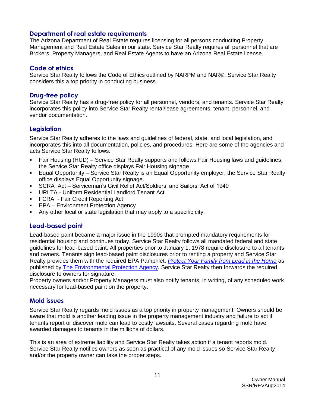#### <span id="page-10-0"></span>**Department of real estate requirements**

The Arizona Department of Real Estate requires licensing for all persons conducting Property Management and Real Estate Sales in our state. Service Star Realty requires all personnel that are Brokers, Property Managers, and Real Estate Agents to have an Arizona Real Estate license.

#### <span id="page-10-1"></span>**Code of ethics**

Service Star Realty follows the Code of Ethics outlined by NARPM and NAR®. Service Star Realty considers this a top priority in conducting business.

#### <span id="page-10-2"></span>**Drug-free policy**

Service Star Realty has a drug-free policy for all personnel, vendors, and tenants. Service Star Realty incorporates this policy into Service Star Realty rental/lease agreements, tenant, personnel, and vendor documentation.

#### <span id="page-10-3"></span>**Legislation**

Service Star Realty adheres to the laws and guidelines of federal, state, and local legislation, and incorporates this into all documentation, policies, and procedures. Here are some of the agencies and acts Service Star Realty follows:

- Fair Housing (HUD) Service Star Realty supports and follows Fair Housing laws and guidelines; the Service Star Realty office displays Fair Housing signage
- Equal Opportunity Service Star Realty is an Equal Opportunity employer; the Service Star Realty office displays Equal Opportunity signage.
- SCRA Act Serviceman's Civil Relief Act/Soldiers' and Sailors' Act of 1940
- URLTA Uniform Residential Landlord Tenant Act
- FCRA Fair Credit Reporting Act
- **EPA Environment Protection Agency**
- Any other local or state legislation that may apply to a specific city.

#### <span id="page-10-4"></span>**Lead-based paint**

Lead-based paint became a major issue in the 1990s that prompted mandatory requirements for residential housing and continues today. Service Star Realty follows all mandated federal and state guidelines for lead-based paint. All properties prior to January 1, 1978 require disclosure to all tenants and owners. Tenants sign lead-based paint disclosures prior to renting a property and Service Star Realty provides them with the required EPA Pamphlet, *[Protect Your Family from Lead in the Home](http://www.epa.gov/oppt/lead/pubs/leadpdfe.pdf)* as published by [The Environmental Protection Agency](http://www.epa.gov/region4/air/lead/)*.* Service Star Realty then forwards the required disclosure to owners for signature.

Property owners and/or Property Managers must also notify tenants, in writing, of any scheduled work necessary for lead-based paint on the property.

#### <span id="page-10-5"></span>**Mold issues**

Service Star Realty regards mold issues as a top priority in property management. Owners should be aware that mold is another leading issue in the property management industry and failure to act if tenants report or discover mold can lead to costly lawsuits. Several cases regarding mold have awarded damages to tenants in the millions of dollars.

This is an area of extreme liability and Service Star Realty takes action if a tenant reports mold. Service Star Realty notifies owners as soon as practical of any mold issues so Service Star Realty and/or the property owner can take the proper steps.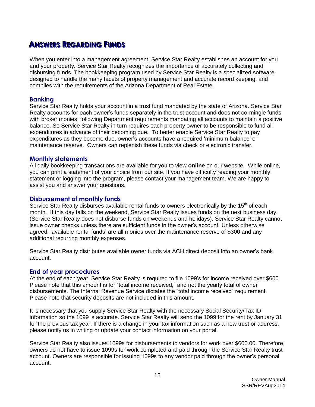# <span id="page-11-0"></span>**A**<br> **Inswers Regarding Funds**

When you enter into a management agreement, Service Star Realty establishes an account for you and your property. Service Star Realty recognizes the importance of accurately collecting and disbursing funds. The bookkeeping program used by Service Star Realty is a specialized software designed to handle the many facets of property management and accurate record keeping, and complies with the requirements of the Arizona Department of Real Estate.

#### <span id="page-11-1"></span>**Banking**

Service Star Realty holds your account in a trust fund mandated by the state of Arizona. Service Star Realty accounts for each owner's funds separately in the trust account and does not co-mingle funds with broker monies, following Department requirements mandating all accounts to maintain a positive balance. So Service Star Realty in turn requires each property owner to be responsible to fund all expenditures in advance of their becoming due. To better enable Service Star Realty to pay expenditures as they become due, owner's accounts have a required 'minimum balance' or maintenance reserve. Owners can replenish these funds via check or electronic transfer.

#### <span id="page-11-2"></span>**Monthly statements**

All daily bookkeeping transactions are available for you to view **online** on our website. While online, you can print a statement of your choice from our site. If you have difficulty reading your monthly statement or logging into the program, please contact your management team. We are happy to assist you and answer your questions.

#### <span id="page-11-3"></span>**Disbursement of monthly funds**

Service Star Realty disburses available rental funds to owners electronically by the 15<sup>th</sup> of each month. If this day falls on the weekend, Service Star Realty issues funds on the next business day. (Service Star Realty does not disburse funds on weekends and holidays). Service Star Realty cannot issue owner checks unless there are sufficient funds in the owner's account. Unless otherwise agreed, 'available rental funds' are all monies over the maintenance reserve of \$300 and any additional recurring monthly expenses.

Service Star Realty distributes available owner funds via ACH direct deposit into an owner's bank account.

#### <span id="page-11-4"></span>**End of year procedures**

At the end of each year, Service Star Realty is required to file 1099's for income received over \$600. Please note that this amount is for "total income received," and not the yearly total of owner disbursements. The Internal Revenue Service dictates the "total income received" requirement. Please note that security deposits are not included in this amount.

It is necessary that you supply Service Star Realty with the necessary Social Security/Tax ID information so the 1099 is accurate. Service Star Realty will send the 1099 for the rent by January 31 for the previous tax year. If there is a change in your tax information such as a new trust or address, please notify us in writing or update your contact information on your portal.

Service Star Realty also issues 1099s for disbursements to vendors for work over \$600.00. Therefore, owners do not have to issue 1099s for work completed and paid through the Service Star Realty trust account. Owners are responsible for issuing 1099s to any vendor paid through the owner's personal account.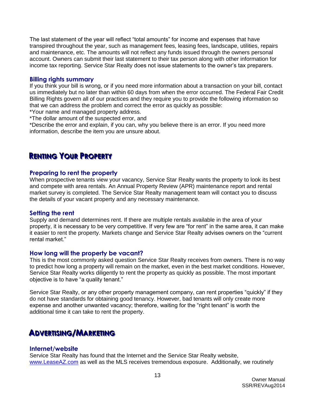The last statement of the year will reflect "total amounts" for income and expenses that have transpired throughout the year, such as management fees, leasing fees, landscape, utilities, repairs and maintenance, etc. The amounts will not reflect any funds issued through the owners personal account. Owners can submit their last statement to their tax person along with other information for income tax reporting. Service Star Realty does not issue statements to the owner's tax preparers.

#### <span id="page-12-0"></span>**Billing rights summary**

If you think your bill is wrong, or if you need more information about a transaction on your bill, contact us immediately but no later than within 60 days from when the error occurred. The Federal Fair Credit Billing Rights govern all of our practices and they require you to provide the following information so that we can address the problem and correct the error as quickly as possible:

\*Your name and managed property address.

\*The dollar amount of the suspected error, and

\*Describe the error and explain, if you can, why you believe there is an error. If you need more information, describe the item you are unsure about.

### <span id="page-12-1"></span>**REENNTTI IINNGG YOOUURR PRROOPPEERRTTYY**

#### <span id="page-12-2"></span>**Preparing to rent the property**

When prospective tenants view your vacancy, Service Star Realty wants the property to look its best and compete with area rentals. An Annual Property Review (APR) maintenance report and rental market survey is completed. The Service Star Realty management team will contact you to discuss the details of your vacant property and any necessary maintenance.

#### <span id="page-12-3"></span>**Setting the rent**

Supply and demand determines rent. If there are multiple rentals available in the area of your property, it is necessary to be very competitive. If very few are "for rent" in the same area, it can make it easier to rent the property. Markets change and Service Star Realty advises owners on the "current rental market."

#### <span id="page-12-4"></span>**How long will the property be vacant?**

This is the most commonly asked question Service Star Realty receives from owners. There is no way to predict how long a property will remain on the market, even in the best market conditions. However, Service Star Realty works diligently to rent the property as quickly as possible. The most important objective is to have "a quality tenant."

Service Star Realty, or any other property management company, can rent properties "quickly" if they do not have standards for obtaining good tenancy. However, bad tenants will only create more expense and another unwanted vacancy; therefore, waiting for the "right tenant" is worth the additional time it can take to rent the property.

### <span id="page-12-5"></span> $\blacksquare$ **ADVERTISING/MARKETING**

#### <span id="page-12-6"></span>**Internet/website**

Service Star Realty has found that the Internet and the Service Star Realty website, [www.LeaseAZ.com](http://www.leaseaz.com/) as well as the MLS receives tremendous exposure. Additionally, we routinely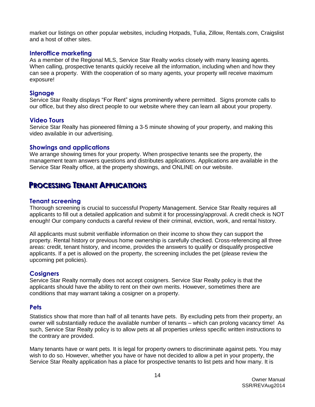market our listings on other popular websites, including Hotpads, Tulia, Zillow, Rentals.com, Craigslist and a host of other sites.

#### <span id="page-13-0"></span>**Interoffice marketing**

As a member of the Regional MLS, Service Star Realty works closely with many leasing agents. When calling, prospective tenants quickly receive all the information, including when and how they can see a property. With the cooperation of so many agents, your property will receive maximum exposure!

#### <span id="page-13-1"></span>**Signage**

Service Star Realty displays "For Rent" signs prominently where permitted. Signs promote calls to our office, but they also direct people to our website where they can learn all about your property.

#### <span id="page-13-2"></span>**Video Tours**

Service Star Realty has pioneered filming a 3-5 minute showing of your property, and making this video available in our advertising.

#### <span id="page-13-3"></span>**Showings and applications**

We arrange showing times for your property. When prospective tenants see the property, the management team answers questions and distributes applications. Applications are available in the Service Star Realty office, at the property showings, and ONLINE on our website.

### <span id="page-13-4"></span>**PROCESSING TENANT APPLICATIONS**

#### <span id="page-13-5"></span>**Tenant screening**

Thorough screening is crucial to successful Property Management. Service Star Realty requires all applicants to fill out a detailed application and submit it for processing/approval. A credit check is NOT enough! Our company conducts a careful review of their criminal, eviction, work, and rental history.

All applicants must submit verifiable information on their income to show they can support the property. Rental history or previous home ownership is carefully checked. Cross-referencing all three areas: credit, tenant history, and income, provides the answers to qualify or disqualify prospective applicants. If a pet is allowed on the property, the screening includes the pet (please review the upcoming pet policies).

#### <span id="page-13-6"></span>**Cosigners**

Service Star Realty normally does not accept cosigners. Service Star Realty policy is that the applicants should have the ability to rent on their own merits. However, sometimes there are conditions that may warrant taking a cosigner on a property.

#### <span id="page-13-7"></span>**Pets**

Statistics show that more than half of all tenants have pets. By excluding pets from their property, an owner will substantially reduce the available number of tenants – which can prolong vacancy time! As such, Service Star Realty policy is to allow pets at all properties unless specific written instructions to the contrary are provided.

Many tenants have or want pets. It is legal for property owners to discriminate against pets. You may wish to do so. However, whether you have or have not decided to allow a pet in your property, the Service Star Realty application has a place for prospective tenants to list pets and how many. It is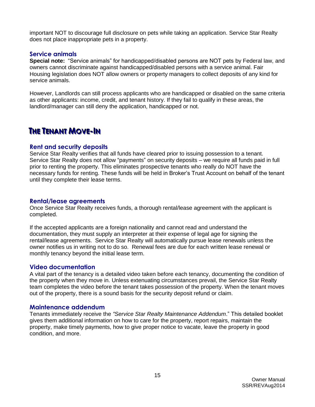important NOT to discourage full disclosure on pets while taking an application. Service Star Realty does not place inappropriate pets in a property.

#### <span id="page-14-0"></span>**Service animals**

**Special note:** "Service animals" for handicapped/disabled persons are NOT pets by Federal law, and owners cannot discriminate against handicapped/disabled persons with a service animal. Fair Housing legislation does NOT allow owners or property managers to collect deposits of any kind for service animals.

However, Landlords can still process applicants who are handicapped or disabled on the same criteria as other applicants: income, credit, and tenant history. If they fail to qualify in these areas, the landlord/manager can still deny the application, handicapped or not.

### <span id="page-14-1"></span>**THE TENANT MOVE-IN**

#### <span id="page-14-2"></span>**Rent and security deposits**

Service Star Realty verifies that all funds have cleared prior to issuing possession to a tenant. Service Star Realty does not allow "payments" on security deposits – we require all funds paid in full prior to renting the property. This eliminates prospective tenants who really do NOT have the necessary funds for renting. These funds will be held in Broker's Trust Account on behalf of the tenant until they complete their lease terms.

#### <span id="page-14-3"></span>**Rental/lease agreements**

Once Service Star Realty receives funds, a thorough rental/lease agreement with the applicant is completed.

If the accepted applicants are a foreign nationality and cannot read and understand the documentation, they must supply an interpreter at their expense of legal age for signing the rental/lease agreements. Service Star Realty will automatically pursue lease renewals unless the owner notifies us in writing not to do so. Renewal fees are due for each written lease renewal or monthly tenancy beyond the initial lease term.

#### <span id="page-14-4"></span>**Video documentation**

A vital part of the tenancy is a detailed video taken before each tenancy, documenting the condition of the property when they move in. Unless extenuating circumstances prevail, the Service Star Realty team completes the video before the tenant takes possession of the property. When the tenant moves out of the property, there is a sound basis for the security deposit refund or claim.

#### <span id="page-14-5"></span>**Maintenance addendum**

Tenants immediately receive the *"Service Star Realty Maintenance Addendum*." This detailed booklet gives them additional information on how to care for the property, report repairs, maintain the property, make timely payments, how to give proper notice to vacate, leave the property in good condition, and more.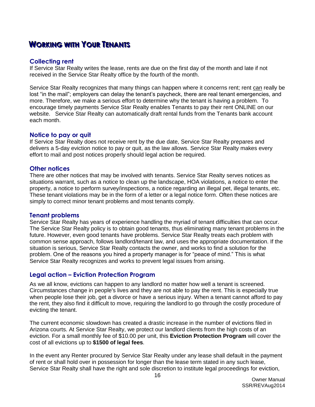# <span id="page-15-0"></span>**WORKING WITH YOUR TENANTS**

#### <span id="page-15-1"></span>**Collecting rent**

If Service Star Realty writes the lease, rents are due on the first day of the month and late if not received in the Service Star Realty office by the fourth of the month.

Service Star Realty recognizes that many things can happen where it concerns rent; rent can really be lost "in the mail"; employers can delay the tenant's paycheck, there are real tenant emergencies, and more. Therefore, we make a serious effort to determine why the tenant is having a problem. To encourage timely payments Service Star Realty enables Tenants to pay their rent ONLINE on our website. Service Star Realty can automatically draft rental funds from the Tenants bank account each month.

#### <span id="page-15-2"></span>**Notice to pay or quit**

If Service Star Realty does not receive rent by the due date, Service Star Realty prepares and delivers a 5-day eviction notice to pay or quit, as the law allows. Service Star Realty makes every effort to mail and post notices properly should legal action be required.

#### <span id="page-15-3"></span>**Other notices**

There are other notices that may be involved with tenants. Service Star Realty serves notices as situations warrant, such as a notice to clean up the landscape, HOA violations, a notice to enter the property, a notice to perform survey/inspections, a notice regarding an illegal pet, illegal tenants, etc. These tenant violations may be in the form of a letter or a legal notice form. Often these notices are simply to correct minor tenant problems and most tenants comply.

#### <span id="page-15-4"></span>**Tenant problems**

Service Star Realty has years of experience handling the myriad of tenant difficulties that can occur. The Service Star Realty policy is to obtain good tenants, thus eliminating many tenant problems in the future. However, even good tenants have problems. Service Star Realty treats each problem with common sense approach, follows landlord/tenant law, and uses the appropriate documentation. If the situation is serious, Service Star Realty contacts the owner, and works to find a solution for the problem. One of the reasons you hired a property manager is for "peace of mind." This is what Service Star Realty recognizes and works to prevent legal issues from arising.

#### <span id="page-15-5"></span>**Legal action – Eviction Protection Program**

As we all know, evictions can happen to any landlord no matter how well a tenant is screened. Circumstances change in people's lives and they are not able to pay the rent. This is especially true when people lose their job, get a divorce or have a serious injury. When a tenant cannot afford to pay the rent, they also find it difficult to move, requiring the landlord to go through the costly procedure of evicting the tenant.

The current economic slowdown has created a drastic increase in the number of evictions filed in Arizona courts. At Service Star Realty, we protect our landlord clients from the high costs of an eviction. For a small monthly fee of \$10.00 per unit, this **Eviction Protection Program** will cover the cost of all evictions up to **\$1500 of legal fees**.

In the event any Renter procured by Service Star Realty under any lease shall default in the payment of rent or shall hold over in possession for longer than the lease term stated in any such lease, Service Star Realty shall have the right and sole discretion to institute legal proceedings for eviction,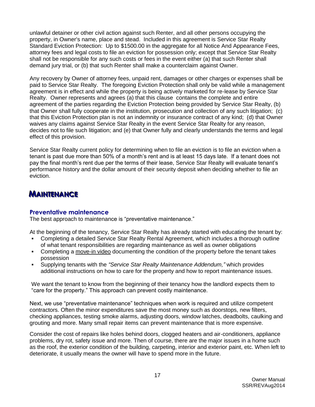unlawful detainer or other civil action against such Renter, and all other persons occupying the property, in Owner's name, place and stead. Included in this agreement is Service Star Realty Standard Eviction Protection: Up to \$1500.00 in the aggregate for all Notice And Appearance Fees, attorney fees and legal costs to file an eviction for possession only; except that Service Star Realty shall not be responsible for any such costs or fees in the event either (a) that such Renter shall demand jury trial, or (b) that such Renter shall make a counterclaim against Owner.

Any recovery by Owner of attorney fees, unpaid rent, damages or other charges or expenses shall be paid to Service Star Realty. The foregoing Eviction Protection shall only be valid while a management agreement is in effect and while the property is being actively marketed for re-lease by Service Star Realty. Owner represents and agrees (a) that this clause contains the complete and entire agreement of the parties regarding the Eviction Protection being provided by Service Star Realty, (b) that Owner shall fully cooperate in the institution, prosecution and collection of any such litigation; (c) that this Eviction Protection plan is not an indemnity or insurance contract of any kind; (d) that Owner waives any claims against Service Star Realty in the event Service Star Realty for any reason, decides not to file such litigation; and (e) that Owner fully and clearly understands the terms and legal effect of this provision.

Service Star Realty current policy for determining when to file an eviction is to file an eviction when a tenant is past due more than 50% of a month's rent and is at least 15 days late. If a tenant does not pay the final month's rent due per the terms of their lease, Service Star Realty will evaluate tenant's performance history and the dollar amount of their security deposit when deciding whether to file an eviction.

# <span id="page-16-0"></span>**MAINTENANCE**

#### <span id="page-16-1"></span>**Preventative maintenance**

The best approach to maintenance is "preventative maintenance."

At the beginning of the tenancy, Service Star Realty has already started with educating the tenant by: Completing a detailed Service Star Realty Rental Agreement, which includes a thorough outline

- of what tenant responsibilities are regarding maintenance as well as owner obligations
- Completing a move-in video documenting the condition of the property before the tenant takes possession
- Supplying tenants with the *"Service Star Realty Maintenance Addendum,"* which provides additional instructions on how to care for the property and how to report maintenance issues.

We want the tenant to know from the beginning of their tenancy how the landlord expects them to "care for the property." This approach can prevent costly maintenance.

Next, we use "preventative maintenance" techniques when work is required and utilize competent contractors. Often the minor expenditures save the most money such as doorstops, new filters, checking appliances, testing smoke alarms, adjusting doors, window latches, deadbolts, caulking and grouting and more. Many small repair items can prevent maintenance that is more expensive.

Consider the cost of repairs like holes behind doors, clogged heaters and air-conditioners, appliance problems, dry rot, safety issue and more. Then of course, there are the major issues in a home such as the roof, the exterior condition of the building, carpeting, interior and exterior paint, etc. When left to deteriorate, it usually means the owner will have to spend more in the future.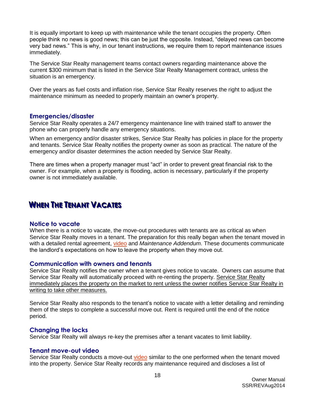It is equally important to keep up with maintenance while the tenant occupies the property. Often people think no news is good news; this can be just the opposite. Instead, "delayed news can become very bad news." This is why, in our tenant instructions, we require them to report maintenance issues immediately.

The Service Star Realty management teams contact owners regarding maintenance above the current \$300 minimum that is listed in the Service Star Realty Management contract, unless the situation is an emergency.

Over the years as fuel costs and inflation rise, Service Star Realty reserves the right to adjust the maintenance minimum as needed to properly maintain an owner's property.

#### <span id="page-17-0"></span>**Emergencies/disaster**

Service Star Realty operates a 24/7 emergency maintenance line with trained staff to answer the phone who can properly handle any emergency situations.

When an emergency and/or disaster strikes, Service Star Realty has policies in place for the property and tenants. Service Star Realty notifies the property owner as soon as practical. The nature of the emergency and/or disaster determines the action needed by Service Star Realty.

There are times when a property manager must "act" in order to prevent great financial risk to the owner. For example, when a property is flooding, action is necessary, particularly if the property owner is not immediately available.

# <span id="page-17-1"></span>**WHEN THE TENANT VACATES**

#### <span id="page-17-2"></span>**Notice to vacate**

When there is a notice to vacate, the move-out procedures with tenants are as critical as when Service Star Realty moves in a tenant. The preparation for this really began when the tenant moved in with a detailed rental agreement, video and *Maintenance Addendum*. These documents communicate the landlord's expectations on how to leave the property when they move out.

#### <span id="page-17-3"></span>**Communication with owners and tenants**

Service Star Realty notifies the owner when a tenant gives notice to vacate. Owners can assume that Service Star Realty will automatically proceed with re-renting the property. Service Star Realty immediately places the property on the market to rent unless the owner notifies Service Star Realty in writing to take other measures.

Service Star Realty also responds to the tenant's notice to vacate with a letter detailing and reminding them of the steps to complete a successful move out. Rent is required until the end of the notice period.

#### **Changing the locks**

Service Star Realty will always re-key the premises after a tenant vacates to limit liability.

#### <span id="page-17-4"></span>**Tenant move-out video**

Service Star Realty conducts a move-out video similar to the one performed when the tenant moved into the property. Service Star Realty records any maintenance required and discloses a list of

18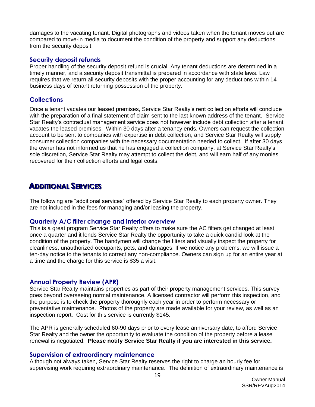damages to the vacating tenant. Digital photographs and videos taken when the tenant moves out are compared to move-in media to document the condition of the property and support any deductions from the security deposit.

#### <span id="page-18-0"></span>**Security deposit refunds**

Proper handling of the security deposit refund is crucial. Any tenant deductions are determined in a timely manner, and a security deposit transmittal is prepared in accordance with state laws. Law requires that we return all security deposits with the proper accounting for any deductions within 14 business days of tenant returning possession of the property.

#### <span id="page-18-1"></span>**Collections**

Once a tenant vacates our leased premises, Service Star Realty's rent collection efforts will conclude with the preparation of a final statement of claim sent to the last known address of the tenant. Service Star Realty's contractual management service does not however include debt collection after a tenant vacates the leased premises. Within 30 days after a tenancy ends, Owners can request the collection account to be sent to companies with expertise in debt collection, and Service Star Realty will supply consumer collection companies with the necessary documentation needed to collect. If after 30 days the owner has not informed us that he has engaged a collection company, at Service Star Realty's sole discretion, Service Star Realty may attempt to collect the debt, and will earn half of any monies recovered for their collection efforts and legal costs.

### <span id="page-18-2"></span>**ADDITIONAL SERVICES**

The following are "additional services" offered by Service Star Realty to each property owner. They are not included in the fees for managing and/or leasing the property.

#### <span id="page-18-3"></span>**Quarterly A/C filter change and interior overview**

This is a great program Service Star Realty offers to make sure the AC filters get changed at least once a quarter and it lends Service Star Realty the opportunity to take a quick candid look at the condition of the property. The handymen will change the filters and visually inspect the property for cleanliness, unauthorized occupants, pets, and damages. If we notice any problems, we will issue a ten-day notice to the tenants to correct any non-compliance. Owners can sign up for an entire year at a time and the charge for this service is \$35 a visit.

#### <span id="page-18-4"></span>**Annual Property Review (APR)**

Service Star Realty maintains properties as part of their property management services. This survey goes beyond overseeing normal maintenance. A licensed contractor will perform this inspection, and the purpose is to check the property thoroughly each year in order to perform necessary or preventative maintenance. Photos of the property are made available for your review, as well as an inspection report. Cost for this service is currently \$145.

The APR is generally scheduled 60-90 days prior to every lease anniversary date, to afford Service Star Realty and the owner the opportunity to evaluate the condition of the property before a lease renewal is negotiated. **Please notify Service Star Realty if you are interested in this service.**

#### <span id="page-18-5"></span>**Supervision of extraordinary maintenance**

Although not always taken, Service Star Realty reserves the right to charge an hourly fee for supervising work requiring extraordinary maintenance. The definition of extraordinary maintenance is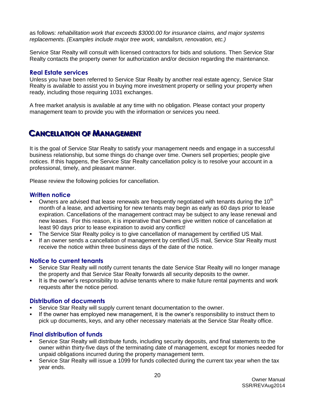as follows: *rehabilitation work that exceeds \$3000.00 for insurance claims, and major systems replacements. (Examples include major tree work, vandalism, renovation, etc.)*

Service Star Realty will consult with licensed contractors for bids and solutions. Then Service Star Realty contacts the property owner for authorization and/or decision regarding the maintenance.

#### <span id="page-19-0"></span>**Real Estate services**

Unless you have been referred to Service Star Realty by another real estate agency, Service Star Realty is available to assist you in buying more investment property or selling your property when ready, including those requiring 1031 exchanges.

A free market analysis is available at any time with no obligation. Please contact your property management team to provide you with the information or services you need.

### <span id="page-19-1"></span>**CANCELLATION OF MANAGEMENT**

It is the goal of Service Star Realty to satisfy your management needs and engage in a successful business relationship, but some things do change over time. Owners sell properties; people give notices. If this happens, the Service Star Realty cancellation policy is to resolve your account in a professional, timely, and pleasant manner.

Please review the following policies for cancellation.

#### <span id="page-19-2"></span>**Written notice**

- Owners are advised that lease renewals are frequently negotiated with tenants during the  $10<sup>th</sup>$ month of a lease, and advertising for new tenants may begin as early as 60 days prior to lease expiration. Cancellations of the management contract may be subject to any lease renewal and new leases. For this reason, it is imperative that Owners give written notice of cancellation at least 90 days prior to lease expiration to avoid any conflict!
- The Service Star Realty policy is to give cancellation of management by certified US Mail.
- If an owner sends a cancellation of management by certified US mail, Service Star Realty must receive the notice within three business days of the date of the notice.

#### <span id="page-19-3"></span>**Notice to current tenants**

- Service Star Realty will notify current tenants the date Service Star Realty will no longer manage the property and that Service Star Realty forwards all security deposits to the owner.
- It is the owner's responsibility to advise tenants where to make future rental payments and work requests after the notice period.

#### <span id="page-19-4"></span>**Distribution of documents**

- Service Star Realty will supply current tenant documentation to the owner.
- If the owner has employed new management, it is the owner's responsibility to instruct them to pick up documents, keys, and any other necessary materials at the Service Star Realty office.

#### <span id="page-19-5"></span>**Final distribution of funds**

- Service Star Realty will distribute funds, including security deposits, and final statements to the owner within thirty-five days of the terminating date of management, except for monies needed for unpaid obligations incurred during the property management term.
- Service Star Realty will issue a 1099 for funds collected during the current tax year when the tax year ends.